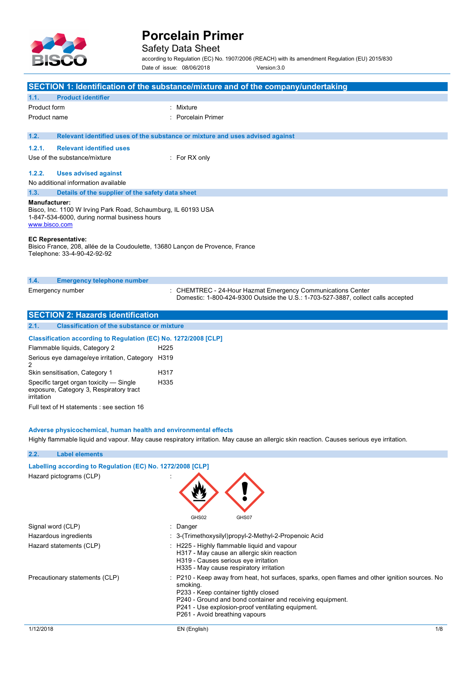

## Safety Data Sheet

according to Regulation (EC) No. 1907/2006 (REACH) with its amendment Regulation (EU) 2015/830 Date of issue: 08/06/2018 Version:3.0

| SECTION 1: Identification of the substance/mixture and of the company/undertaking                                                               |                                                                                                                                                  |  |  |
|-------------------------------------------------------------------------------------------------------------------------------------------------|--------------------------------------------------------------------------------------------------------------------------------------------------|--|--|
| <b>Product identifier</b><br>1.1.                                                                                                               |                                                                                                                                                  |  |  |
| Product form                                                                                                                                    | : Mixture                                                                                                                                        |  |  |
| Product name                                                                                                                                    | Porcelain Primer                                                                                                                                 |  |  |
| 1.2.                                                                                                                                            | Relevant identified uses of the substance or mixture and uses advised against                                                                    |  |  |
| <b>Relevant identified uses</b><br>1.2.1.                                                                                                       |                                                                                                                                                  |  |  |
| Use of the substance/mixture                                                                                                                    | $:$ For RX only                                                                                                                                  |  |  |
| 1.2.2.<br><b>Uses advised against</b>                                                                                                           |                                                                                                                                                  |  |  |
| No additional information available                                                                                                             |                                                                                                                                                  |  |  |
| 1.3.                                                                                                                                            | Details of the supplier of the safety data sheet                                                                                                 |  |  |
| Manufacturer:<br>Bisco, Inc. 1100 W Irving Park Road, Schaumburg, IL 60193 USA<br>1-847-534-6000, during normal business hours<br>www.bisco.com |                                                                                                                                                  |  |  |
| <b>EC Representative:</b><br>Bisico France, 208, allée de la Coudoulette, 13680 Lançon de Provence, France<br>Telephone: 33-4-90-42-92-92       |                                                                                                                                                  |  |  |
| <b>Emergency telephone number</b><br>1.4.                                                                                                       |                                                                                                                                                  |  |  |
| Emergency number                                                                                                                                | : CHEMTREC - 24-Hour Hazmat Emergency Communications Center<br>Domestic: 1-800-424-9300 Outside the U.S.: 1-703-527-3887, collect calls accepted |  |  |

| <b>SECTION 2: Hazards identification</b>                                                         |                                                                        |  |  |
|--------------------------------------------------------------------------------------------------|------------------------------------------------------------------------|--|--|
| 2.1.<br><b>Classification of the substance or mixture</b>                                        |                                                                        |  |  |
|                                                                                                  | <b>Classification according to Regulation (EC) No. 1272/2008 [CLP]</b> |  |  |
| Flammable liquids, Category 2                                                                    | H <sub>225</sub>                                                       |  |  |
| Serious eye damage/eye irritation, Category<br>2                                                 | H319                                                                   |  |  |
| Skin sensitisation, Category 1                                                                   | H <sub>317</sub>                                                       |  |  |
| Specific target organ toxicity - Single<br>exposure, Category 3, Respiratory tract<br>irritation | H335                                                                   |  |  |
| Full text of H statements : see section 16                                                       |                                                                        |  |  |

### **Adverse physicochemical, human health and environmental effects**

Highly flammable liquid and vapour. May cause respiratory irritation. May cause an allergic skin reaction. Causes serious eye irritation.

| 2.2.<br><b>Label elements</b>                                                         |                                                                                                                                                                                                                                                                                                        |
|---------------------------------------------------------------------------------------|--------------------------------------------------------------------------------------------------------------------------------------------------------------------------------------------------------------------------------------------------------------------------------------------------------|
| Labelling according to Regulation (EC) No. 1272/2008 [CLP]<br>Hazard pictograms (CLP) |                                                                                                                                                                                                                                                                                                        |
|                                                                                       | GHS02<br>GHS07                                                                                                                                                                                                                                                                                         |
| Signal word (CLP)                                                                     | : Danger                                                                                                                                                                                                                                                                                               |
| Hazardous ingredients                                                                 | : 3-(Trimethoxysilyl)propyl-2-Methyl-2-Propenoic Acid                                                                                                                                                                                                                                                  |
| Hazard statements (CLP)                                                               | : H225 - Highly flammable liquid and vapour<br>H317 - May cause an allergic skin reaction<br>H319 - Causes serious eye irritation<br>H335 - May cause respiratory irritation                                                                                                                           |
| Precautionary statements (CLP)                                                        | : P210 - Keep away from heat, hot surfaces, sparks, open flames and other ignition sources. No<br>smoking.<br>P233 - Keep container tightly closed<br>P240 - Ground and bond container and receiving equipment.<br>P241 - Use explosion-proof ventilating equipment.<br>P261 - Avoid breathing vapours |
| 1/12/2018                                                                             | 1/8<br>EN (English)                                                                                                                                                                                                                                                                                    |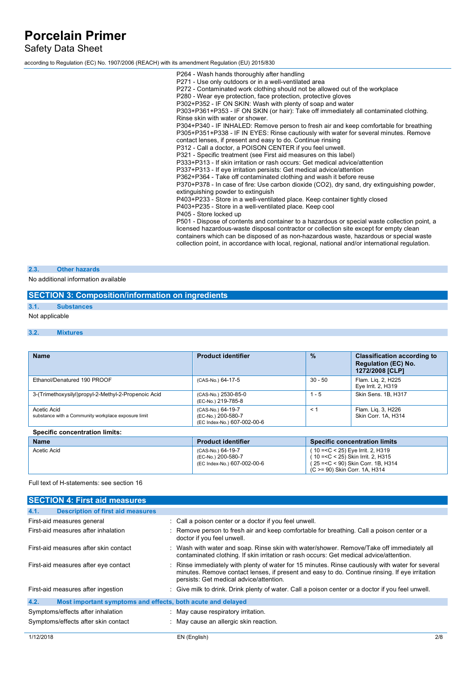Safety Data Sheet

according to Regulation (EC) No. 1907/2006 (REACH) with its amendment Regulation (EU) 2015/830

P264 - Wash hands thoroughly after handling P271 - Use only outdoors or in a well-ventilated area P272 - Contaminated work clothing should not be allowed out of the workplace P280 - Wear eye protection, face protection, protective gloves P302+P352 - IF ON SKIN: Wash with plenty of soap and water P303+P361+P353 - IF ON SKIN (or hair): Take off immediately all contaminated clothing. Rinse skin with water or shower. P304+P340 - IF INHALED: Remove person to fresh air and keep comfortable for breathing P305+P351+P338 - IF IN EYES: Rinse cautiously with water for several minutes. Remove contact lenses, if present and easy to do. Continue rinsing P312 - Call a doctor, a POISON CENTER if you feel unwell. P321 - Specific treatment (see First aid measures on this label) P333+P313 - If skin irritation or rash occurs: Get medical advice/attention P337+P313 - If eye irritation persists: Get medical advice/attention P362+P364 - Take off contaminated clothing and wash it before reuse P370+P378 - In case of fire: Use carbon dioxide (CO2), dry sand, dry extinguishing powder, extinguishing powder to extinguish P403+P233 - Store in a well-ventilated place. Keep container tightly closed P403+P235 - Store in a well-ventilated place. Keep cool P405 - Store locked up P501 - Dispose of contents and container to a hazardous or special waste collection point, a licensed hazardous-waste disposal contractor or collection site except for empty clean containers which can be disposed of as non-hazardous waste, hazardous or special waste collection point, in accordance with local, regional, national and/or international regulation.

#### **2.3. Other hazards**

No additional information available

## **SECTION 3: Composition/information on ingredients**

# **3.1. Substances**

Not applicable

#### **3.2. Mixtures**

| <b>Name</b>                                                        | <b>Product identifier</b>                                              | $\frac{9}{6}$ | <b>Classification according to</b><br><b>Regulation (EC) No.</b><br>1272/2008 [CLP] |
|--------------------------------------------------------------------|------------------------------------------------------------------------|---------------|-------------------------------------------------------------------------------------|
| Ethanol/Denatured 190 PROOF                                        | (CAS-No.) 64-17-5                                                      | $30 - 50$     | Flam. Lig. 2, H225<br>Eye Irrit. 2, H319                                            |
| 3-(Trimethoxysilyl)propyl-2-Methyl-2-Propenoic Acid                | (CAS-No.) 2530-85-0<br>(EC-No.) 219-785-8                              | $1 - 5$       | Skin Sens. 1B, H317                                                                 |
| Acetic Acid<br>substance with a Community workplace exposure limit | (CAS-No.) 64-19-7<br>(EC-No.) 200-580-7<br>(EC Index-No.) 607-002-00-6 | $\leq$ 1      | Flam. Lig. 3, H226<br>Skin Corr. 1A, H314                                           |
| <b>Specific concentration limits:</b>                              |                                                                        |               |                                                                                     |
| <b>March 20</b>                                                    | The contract of the contract on                                        |               | Consider and controlled limits.                                                     |

| <b>Name</b> | <b>Product identifier</b>   | <b>Specific concentration limits</b>                             |
|-------------|-----------------------------|------------------------------------------------------------------|
| Acetic Acid | (CAS-No.) 64-19-7           | ( 10 = <c 2,="" 25)="" <="" eye="" h319<="" irrit.="" td=""></c> |
|             | (EC-No.) 200-580-7          | (10 = < C < 25) Skin Irrit. 2. H315                              |
|             | (EC Index-No.) 607-002-00-6 | (25 = < C < 90) Skin Corr. 1B. H314                              |
|             |                             | (C >= 90) Skin Corr. 1A, H314                                    |

#### Full text of H-statements: see section 16

| <b>SECTION 4: First aid measures</b>                                |                                                                                                                                                                                                                                               |
|---------------------------------------------------------------------|-----------------------------------------------------------------------------------------------------------------------------------------------------------------------------------------------------------------------------------------------|
| 4.1.<br><b>Description of first aid measures</b>                    |                                                                                                                                                                                                                                               |
| First-aid measures general                                          | : Call a poison center or a doctor if you feel unwell.                                                                                                                                                                                        |
| First-aid measures after inhalation                                 | : Remove person to fresh air and keep comfortable for breathing. Call a poison center or a<br>doctor if you feel unwell.                                                                                                                      |
| First-aid measures after skin contact                               | : Wash with water and soap. Rinse skin with water/shower. Remove/Take off immediately all<br>contaminated clothing. If skin irritation or rash occurs: Get medical advice/attention.                                                          |
| First-aid measures after eye contact                                | : Rinse immediately with plenty of water for 15 minutes. Rinse cautiously with water for several<br>minutes. Remove contact lenses, if present and easy to do. Continue rinsing. If eye irritation<br>persists: Get medical advice/attention. |
| First-aid measures after ingestion                                  | : Give milk to drink. Drink plenty of water. Call a poison center or a doctor if you feel unwell.                                                                                                                                             |
| 4.2.<br>Most important symptoms and effects, both acute and delayed |                                                                                                                                                                                                                                               |
| Symptoms/effects after inhalation                                   | : May cause respiratory irritation.                                                                                                                                                                                                           |
| Symptoms/effects after skin contact                                 | : May cause an allergic skin reaction.                                                                                                                                                                                                        |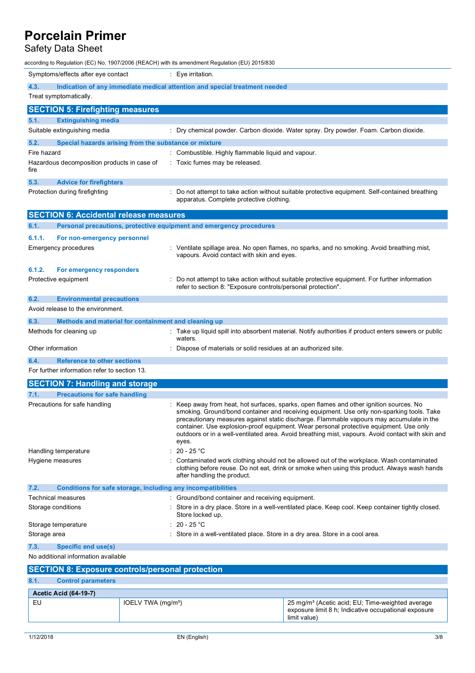# Safety Data Sheet

according to Regulation (EC) No. 1907/2006 (REACH) with its amendment Regulation (EU) 2015/830

|                                                                                                                                               | Symptoms/effects after eye contact<br>$: Eye$ irritation.                                    |                                |                                                                     |                                                                                                                                                                                                                                                                                                                                                                                                                                                                               |
|-----------------------------------------------------------------------------------------------------------------------------------------------|----------------------------------------------------------------------------------------------|--------------------------------|---------------------------------------------------------------------|-------------------------------------------------------------------------------------------------------------------------------------------------------------------------------------------------------------------------------------------------------------------------------------------------------------------------------------------------------------------------------------------------------------------------------------------------------------------------------|
|                                                                                                                                               | 4.3.<br>Indication of any immediate medical attention and special treatment needed           |                                |                                                                     |                                                                                                                                                                                                                                                                                                                                                                                                                                                                               |
|                                                                                                                                               | Treat symptomatically.                                                                       |                                |                                                                     |                                                                                                                                                                                                                                                                                                                                                                                                                                                                               |
|                                                                                                                                               | <b>SECTION 5: Firefighting measures</b>                                                      |                                |                                                                     |                                                                                                                                                                                                                                                                                                                                                                                                                                                                               |
| 5.1.                                                                                                                                          | <b>Extinguishing media</b>                                                                   |                                |                                                                     |                                                                                                                                                                                                                                                                                                                                                                                                                                                                               |
|                                                                                                                                               | Suitable extinguishing media                                                                 |                                |                                                                     | : Dry chemical powder. Carbon dioxide. Water spray. Dry powder. Foam. Carbon dioxide.                                                                                                                                                                                                                                                                                                                                                                                         |
| 5.2.                                                                                                                                          | Special hazards arising from the substance or mixture                                        |                                |                                                                     |                                                                                                                                                                                                                                                                                                                                                                                                                                                                               |
|                                                                                                                                               | Fire hazard                                                                                  |                                | : Combustible. Highly flammable liquid and vapour.                  |                                                                                                                                                                                                                                                                                                                                                                                                                                                                               |
| fire                                                                                                                                          | Hazardous decomposition products in case of                                                  |                                | : Toxic fumes may be released.                                      |                                                                                                                                                                                                                                                                                                                                                                                                                                                                               |
| 5.3.                                                                                                                                          | <b>Advice for firefighters</b>                                                               |                                |                                                                     |                                                                                                                                                                                                                                                                                                                                                                                                                                                                               |
|                                                                                                                                               | Protection during firefighting                                                               |                                | apparatus. Complete protective clothing.                            | : Do not attempt to take action without suitable protective equipment. Self-contained breathing                                                                                                                                                                                                                                                                                                                                                                               |
|                                                                                                                                               | <b>SECTION 6: Accidental release measures</b>                                                |                                |                                                                     |                                                                                                                                                                                                                                                                                                                                                                                                                                                                               |
| 6.1.                                                                                                                                          |                                                                                              |                                | Personal precautions, protective equipment and emergency procedures |                                                                                                                                                                                                                                                                                                                                                                                                                                                                               |
|                                                                                                                                               | 6.1.1.<br>For non-emergency personnel                                                        |                                |                                                                     |                                                                                                                                                                                                                                                                                                                                                                                                                                                                               |
|                                                                                                                                               | Emergency procedures                                                                         |                                | vapours. Avoid contact with skin and eyes.                          | : Ventilate spillage area. No open flames, no sparks, and no smoking. Avoid breathing mist,                                                                                                                                                                                                                                                                                                                                                                                   |
|                                                                                                                                               | 6.1.2.<br>For emergency responders                                                           |                                |                                                                     |                                                                                                                                                                                                                                                                                                                                                                                                                                                                               |
|                                                                                                                                               | Protective equipment                                                                         |                                | refer to section 8: "Exposure controls/personal protection".        | Do not attempt to take action without suitable protective equipment. For further information                                                                                                                                                                                                                                                                                                                                                                                  |
| 6.2.                                                                                                                                          | <b>Environmental precautions</b>                                                             |                                |                                                                     |                                                                                                                                                                                                                                                                                                                                                                                                                                                                               |
|                                                                                                                                               | Avoid release to the environment.                                                            |                                |                                                                     |                                                                                                                                                                                                                                                                                                                                                                                                                                                                               |
| 6.3.                                                                                                                                          | Methods and material for containment and cleaning up                                         |                                |                                                                     |                                                                                                                                                                                                                                                                                                                                                                                                                                                                               |
|                                                                                                                                               | Methods for cleaning up                                                                      |                                | waters.                                                             | : Take up liquid spill into absorbent material. Notify authorities if product enters sewers or public                                                                                                                                                                                                                                                                                                                                                                         |
|                                                                                                                                               | Other information                                                                            |                                | Dispose of materials or solid residues at an authorized site.       |                                                                                                                                                                                                                                                                                                                                                                                                                                                                               |
| 6.4.                                                                                                                                          | <b>Reference to other sections</b>                                                           |                                |                                                                     |                                                                                                                                                                                                                                                                                                                                                                                                                                                                               |
|                                                                                                                                               | For further information refer to section 13.                                                 |                                |                                                                     |                                                                                                                                                                                                                                                                                                                                                                                                                                                                               |
|                                                                                                                                               | <b>SECTION 7: Handling and storage</b>                                                       |                                |                                                                     |                                                                                                                                                                                                                                                                                                                                                                                                                                                                               |
|                                                                                                                                               |                                                                                              |                                |                                                                     |                                                                                                                                                                                                                                                                                                                                                                                                                                                                               |
| 7.1.                                                                                                                                          | <b>Precautions for safe handling</b>                                                         |                                |                                                                     |                                                                                                                                                                                                                                                                                                                                                                                                                                                                               |
|                                                                                                                                               | Precautions for safe handling                                                                |                                | eyes.                                                               | Keep away from heat, hot surfaces, sparks, open flames and other ignition sources. No<br>smoking. Ground/bond container and receiving equipment. Use only non-sparking tools. Take<br>precautionary measures against static discharge. Flammable vapours may accumulate in the<br>container. Use explosion-proof equipment. Wear personal protective equipment. Use only<br>outdoors or in a well-ventilated area. Avoid breathing mist, vapours. Avoid contact with skin and |
|                                                                                                                                               | Handling temperature                                                                         |                                | $20 - 25 °C$                                                        |                                                                                                                                                                                                                                                                                                                                                                                                                                                                               |
|                                                                                                                                               | Hygiene measures                                                                             |                                | after handling the product.                                         | : Contaminated work clothing should not be allowed out of the workplace. Wash contaminated<br>clothing before reuse. Do not eat, drink or smoke when using this product. Always wash hands                                                                                                                                                                                                                                                                                    |
| 7.2.                                                                                                                                          |                                                                                              |                                | Conditions for safe storage, including any incompatibilities        |                                                                                                                                                                                                                                                                                                                                                                                                                                                                               |
|                                                                                                                                               | Technical measures                                                                           |                                | : Ground/bond container and receiving equipment.                    |                                                                                                                                                                                                                                                                                                                                                                                                                                                                               |
| : Store in a dry place. Store in a well-ventilated place. Keep cool. Keep container tightly closed.<br>Storage conditions<br>Store locked up. |                                                                                              |                                |                                                                     |                                                                                                                                                                                                                                                                                                                                                                                                                                                                               |
|                                                                                                                                               | Storage temperature                                                                          |                                | 20 - 25 °C                                                          |                                                                                                                                                                                                                                                                                                                                                                                                                                                                               |
|                                                                                                                                               | Store in a well-ventilated place. Store in a dry area. Store in a cool area.<br>Storage area |                                |                                                                     |                                                                                                                                                                                                                                                                                                                                                                                                                                                                               |
|                                                                                                                                               | <b>Specific end use(s)</b><br>7.3.                                                           |                                |                                                                     |                                                                                                                                                                                                                                                                                                                                                                                                                                                                               |
|                                                                                                                                               | No additional information available                                                          |                                |                                                                     |                                                                                                                                                                                                                                                                                                                                                                                                                                                                               |
| <b>SECTION 8: Exposure controls/personal protection</b>                                                                                       |                                                                                              |                                |                                                                     |                                                                                                                                                                                                                                                                                                                                                                                                                                                                               |
|                                                                                                                                               |                                                                                              |                                |                                                                     |                                                                                                                                                                                                                                                                                                                                                                                                                                                                               |
|                                                                                                                                               | 8.1.<br><b>Control parameters</b>                                                            |                                |                                                                     |                                                                                                                                                                                                                                                                                                                                                                                                                                                                               |
|                                                                                                                                               | <b>Acetic Acid (64-19-7)</b>                                                                 |                                |                                                                     |                                                                                                                                                                                                                                                                                                                                                                                                                                                                               |
|                                                                                                                                               | EU                                                                                           | IOELV TWA (mg/m <sup>3</sup> ) |                                                                     | 25 mg/m <sup>3</sup> (Acetic acid; EU; Time-weighted average<br>exposure limit 8 h; Indicative occupational exposure<br>limit value)                                                                                                                                                                                                                                                                                                                                          |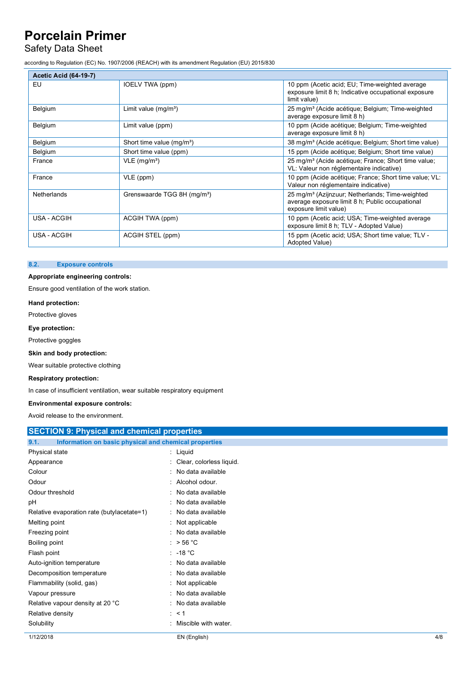## Safety Data Sheet

according to Regulation (EC) No. 1907/2006 (REACH) with its amendment Regulation (EU) 2015/830

| <b>Acetic Acid (64-19-7)</b> |                                         |                                                                                                                                         |  |  |
|------------------------------|-----------------------------------------|-----------------------------------------------------------------------------------------------------------------------------------------|--|--|
| EU                           | IOELV TWA (ppm)                         | 10 ppm (Acetic acid; EU; Time-weighted average<br>exposure limit 8 h; Indicative occupational exposure<br>limit value)                  |  |  |
| Belgium                      | Limit value $(mg/m3)$                   | 25 mg/m <sup>3</sup> (Acide acétique; Belgium; Time-weighted<br>average exposure limit 8 h)                                             |  |  |
| Belgium                      | Limit value (ppm)                       | 10 ppm (Acide acétique; Belgium; Time-weighted<br>average exposure limit 8 h)                                                           |  |  |
| Belgium                      | Short time value (mg/m <sup>3</sup> )   | 38 mg/m <sup>3</sup> (Acide acétique; Belgium; Short time value)                                                                        |  |  |
| Belgium                      | Short time value (ppm)                  | 15 ppm (Acide acétique; Belgium; Short time value)                                                                                      |  |  |
| France                       | $VLE$ (mg/m <sup>3</sup> )              | 25 mg/m <sup>3</sup> (Acide acétique; France; Short time value;<br>VL: Valeur non réglementaire indicative)                             |  |  |
| France                       | VLE (ppm)                               | 10 ppm (Acide acétique; France; Short time value; VL:<br>Valeur non réglementaire indicative)                                           |  |  |
| Netherlands                  | Grenswaarde TGG 8H (mg/m <sup>3</sup> ) | 25 mg/m <sup>3</sup> (Azijnzuur; Netherlands; Time-weighted<br>average exposure limit 8 h; Public occupational<br>exposure limit value) |  |  |
| USA - ACGIH                  | ACGIH TWA (ppm)                         | 10 ppm (Acetic acid; USA; Time-weighted average<br>exposure limit 8 h; TLV - Adopted Value)                                             |  |  |
| USA - ACGIH                  | ACGIH STEL (ppm)                        | 15 ppm (Acetic acid; USA; Short time value; TLV -<br>Adopted Value)                                                                     |  |  |

#### **8.2. Exposure controls**

### **Appropriate engineering controls:**

Ensure good ventilation of the work station.

**Hand protection:**

Protective gloves

**Eye protection:**

Protective goggles

**Skin and body protection:**

Wear suitable protective clothing

#### **Respiratory protection:**

In case of insufficient ventilation, wear suitable respiratory equipment

#### **Environmental exposure controls:**

Avoid release to the environment.

| <b>SECTION 9: Physical and chemical properties</b> |                                                       |  |
|----------------------------------------------------|-------------------------------------------------------|--|
| 9.1.                                               | Information on basic physical and chemical properties |  |
| Physical state                                     | : Liquid                                              |  |
| Appearance                                         | Clear, colorless liquid.                              |  |
| Colour                                             | No data available                                     |  |
| Odour                                              | Alcohol odour.<br>÷                                   |  |
| Odour threshold                                    | : No data available                                   |  |
| рH                                                 | No data available                                     |  |
| Relative evaporation rate (butylacetate=1)         | : No data available                                   |  |
| Melting point                                      | : Not applicable                                      |  |
| Freezing point                                     | : No data available                                   |  |
| Boiling point                                      | : $> 56 °C$                                           |  |
| Flash point                                        | $: -18 °C$                                            |  |
| Auto-ignition temperature                          | : No data available                                   |  |
| Decomposition temperature                          | : No data available                                   |  |
| Flammability (solid, gas)                          | : Not applicable                                      |  |
| Vapour pressure                                    | : No data available                                   |  |
| Relative vapour density at 20 °C                   | : No data available                                   |  |
| Relative density                                   | $\therefore$ < 1                                      |  |
| Solubility                                         | Miscible with water.                                  |  |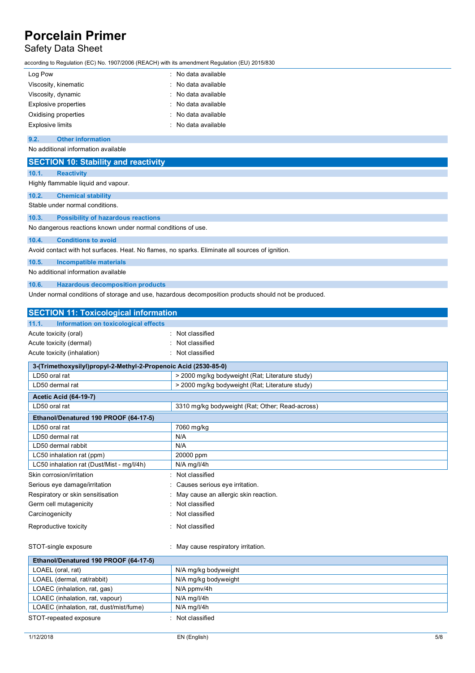# Safety Data Sheet

according to Regulation (EC) No. 1907/2006 (REACH) with its amendment Regulation (EU) 2015/830

| Log Pow                     | : No data available |
|-----------------------------|---------------------|
| Viscosity, kinematic        | : No data available |
| Viscosity, dynamic          | : No data available |
| <b>Explosive properties</b> | : No data available |
| Oxidising properties        | : No data available |
| <b>Explosive limits</b>     | : No data available |

## **9.2. Other information**

No additional information available

|       | <b>SECTION 10: Stability and reactivity</b>                                                     |
|-------|-------------------------------------------------------------------------------------------------|
| 10.1. | <b>Reactivity</b>                                                                               |
|       | Highly flammable liquid and vapour.                                                             |
| 10.2. | <b>Chemical stability</b>                                                                       |
|       | Stable under normal conditions.                                                                 |
| 10.3. | <b>Possibility of hazardous reactions</b>                                                       |
|       | No dangerous reactions known under normal conditions of use.                                    |
| 10.4. | <b>Conditions to avoid</b>                                                                      |
|       | Avoid contact with hot surfaces. Heat. No flames, no sparks. Eliminate all sources of ignition. |
| 10.5. | <b>Incompatible materials</b>                                                                   |

No additional information available

**10.6. Hazardous decomposition products**

Under normal conditions of storage and use, hazardous decomposition products should not be produced.

| <b>SECTION 11: Toxicological information</b>  |                                                                 |  |  |
|-----------------------------------------------|-----------------------------------------------------------------|--|--|
| 11.1.<br>Information on toxicological effects |                                                                 |  |  |
| Acute toxicity (oral)                         | : Not classified                                                |  |  |
| Acute toxicity (dermal)                       | Not classified                                                  |  |  |
| Acute toxicity (inhalation)                   | Not classified                                                  |  |  |
|                                               | 3-(Trimethoxysilyl)propyl-2-Methyl-2-Propenoic Acid (2530-85-0) |  |  |
| LD50 oral rat                                 | > 2000 mg/kg bodyweight (Rat; Literature study)                 |  |  |
| LD50 dermal rat                               | > 2000 mg/kg bodyweight (Rat; Literature study)                 |  |  |
| <b>Acetic Acid (64-19-7)</b>                  |                                                                 |  |  |
| LD50 oral rat                                 | 3310 mg/kg bodyweight (Rat; Other; Read-across)                 |  |  |
| Ethanol/Denatured 190 PROOF (64-17-5)         |                                                                 |  |  |
| LD50 oral rat                                 | 7060 mg/kg                                                      |  |  |
| LD50 dermal rat                               | N/A                                                             |  |  |
| LD50 dermal rabbit                            | N/A                                                             |  |  |
| LC50 inhalation rat (ppm)                     | 20000 ppm                                                       |  |  |
| LC50 inhalation rat (Dust/Mist - mg/l/4h)     | N/A mg/l/4h                                                     |  |  |
| Skin corrosion/irritation                     | Not classified                                                  |  |  |
| Serious eye damage/irritation                 | Causes serious eye irritation.                                  |  |  |
| Respiratory or skin sensitisation             | May cause an allergic skin reaction.                            |  |  |
| Germ cell mutagenicity                        | Not classified                                                  |  |  |
| Carcinogenicity                               | Not classified                                                  |  |  |
| Reproductive toxicity                         | Not classified                                                  |  |  |
|                                               |                                                                 |  |  |
| STOT-single exposure                          | May cause respiratory irritation.                               |  |  |
| Ethanol/Denatured 190 PROOF (64-17-5)         |                                                                 |  |  |
| LOAEL (oral, rat)                             | N/A mg/kg bodyweight                                            |  |  |
| LOAEL (dermal, rat/rabbit)                    | N/A mg/kg bodyweight                                            |  |  |
| LOAEC (inhalation, rat, gas)                  | N/A ppmv/4h                                                     |  |  |
| LOAEC (inhalation, rat, vapour)               | $N/A$ mg/l/4h                                                   |  |  |
| LOAEC (inhalation, rat, dust/mist/fume)       | N/A mg/l/4h                                                     |  |  |
| STOT-repeated exposure                        | Not classified                                                  |  |  |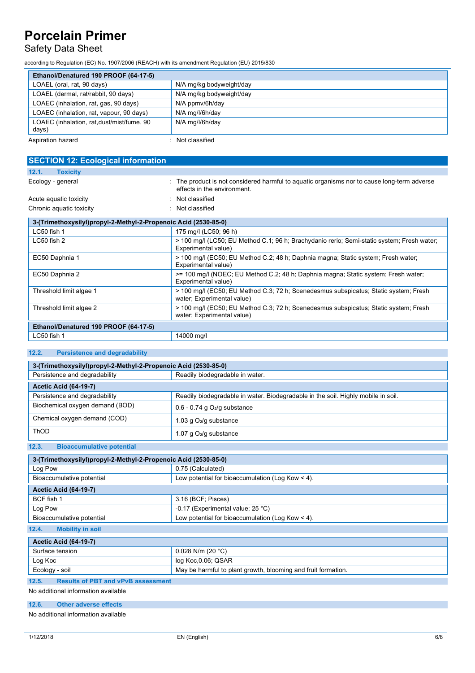# Safety Data Sheet

according to Regulation (EC) No. 1907/2006 (REACH) with its amendment Regulation (EU) 2015/830

| Ethanol/Denatured 190 PROOF (64-17-5)               |                          |
|-----------------------------------------------------|--------------------------|
| LOAEL (oral, rat, 90 days)                          | N/A mg/kg bodyweight/day |
| LOAEL (dermal, rat/rabbit, 90 days)                 | N/A mg/kg bodyweight/day |
| LOAEC (inhalation, rat, gas, 90 days)               | N/A ppmy/6h/day          |
| LOAEC (inhalation, rat, vapour, 90 days)            | N/A mg/l/6h/day          |
| LOAEC (inhalation, rat, dust/mist/fume, 90<br>days) | N/A mg/l/6h/day          |
| Aspiration hazard                                   | : Not classified         |

| <b>SECTION 12: Ecological information</b>                       |                                                                                                                            |
|-----------------------------------------------------------------|----------------------------------------------------------------------------------------------------------------------------|
| 12.1.<br><b>Toxicity</b>                                        |                                                                                                                            |
| Ecology - general                                               | : The product is not considered harmful to aquatic organisms nor to cause long-term adverse<br>effects in the environment. |
| Acute aquatic toxicity                                          | : Not classified                                                                                                           |
| Chronic aquatic toxicity                                        | : Not classified                                                                                                           |
| 3-(Trimethoxysilyl)propyl-2-Methyl-2-Propenoic Acid (2530-85-0) |                                                                                                                            |
| LC50 fish 1                                                     | 175 mg/l (LC50; 96 h)                                                                                                      |
| LC50 fish 2                                                     | > 100 mg/l (LC50; EU Method C.1; 96 h; Brachydanio rerio; Semi-static system; Fresh water;<br>Experimental value)          |
| EC50 Daphnia 1                                                  | > 100 mg/l (EC50; EU Method C.2; 48 h; Daphnia magna; Static system; Fresh water;<br>Experimental value)                   |
| EC50 Daphnia 2                                                  | >= 100 mg/l (NOEC; EU Method C.2; 48 h; Daphnia magna; Static system; Fresh water;<br>Experimental value)                  |
| Threshold limit algae 1                                         | > 100 mg/l (EC50; EU Method C.3; 72 h; Scenedesmus subspicatus; Static system; Fresh<br>water; Experimental value)         |
| Threshold limit algae 2                                         | > 100 mg/l (EC50; EU Method C.3; 72 h; Scenedesmus subspicatus; Static system; Fresh<br>water; Experimental value)         |
| Ethanol/Denatured 190 PROOF (64-17-5)                           |                                                                                                                            |
| LC50 fish 1                                                     | 14000 mg/l                                                                                                                 |

## **12.2. Persistence and degradability**

| 3-(Trimethoxysilyl)propyl-2-Methyl-2-Propenoic Acid (2530-85-0) |                                                                                   |
|-----------------------------------------------------------------|-----------------------------------------------------------------------------------|
| Persistence and degradability                                   | Readily biodegradable in water.                                                   |
| <b>Acetic Acid (64-19-7)</b>                                    |                                                                                   |
| Persistence and degradability                                   | Readily biodegradable in water. Biodegradable in the soil. Highly mobile in soil. |
| Biochemical oxygen demand (BOD)                                 | $0.6 - 0.74$ g $O2/g$ substance                                                   |
| Chemical oxygen demand (COD)                                    | 1.03 g O <sub>2</sub> /g substance                                                |
| ThOD                                                            | 1.07 g $O2/g$ substance                                                           |
| 12.3.<br><b>Bioaccumulative potential</b>                       |                                                                                   |

| 3-(Trimethoxysilyl)propyl-2-Methyl-2-Propenoic Acid (2530-85-0) |                                                    |
|-----------------------------------------------------------------|----------------------------------------------------|
| Log Pow                                                         | 0.75 (Calculated)                                  |
| Bioaccumulative potential                                       | Low potential for bioaccumulation (Log Kow $<$ 4). |
| <b>Acetic Acid (64-19-7)</b>                                    |                                                    |
| BCF fish 1                                                      | 3.16 (BCF; Pisces)                                 |
| Log Pow                                                         | -0.17 (Experimental value; 25 °C)                  |
| Bioaccumulative potential                                       | Low potential for bioaccumulation (Log Kow $<$ 4). |
| 12.4.<br><b>Mobility in soil</b>                                |                                                    |

## **Acetic Acid (64-19-7)**

| <b>ACELIC ACIU (04-19-7)</b> |                                                               |
|------------------------------|---------------------------------------------------------------|
| Surface tension              | $0.028$ N/m (20 °C)                                           |
| Log Koc                      | log Koc,0.06; QSAR                                            |
| Ecology - soil               | May be harmful to plant growth, blooming and fruit formation. |

### **12.5. Results of PBT and vPvB assessment**

No additional information available

### **12.6. Other adverse effects**

No additional information available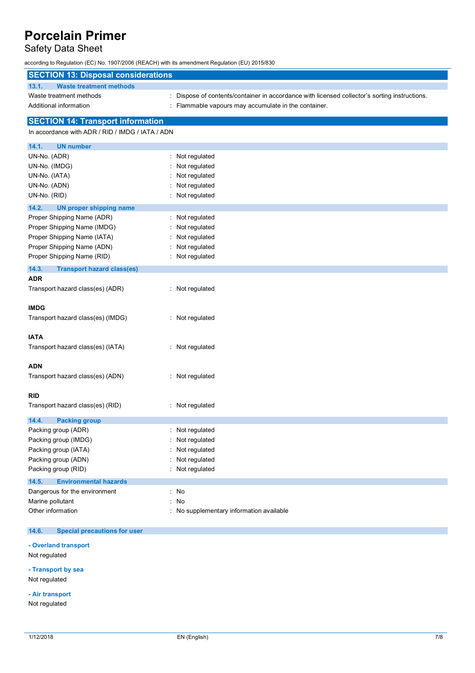## Safety Data Sheet

according to Regulation (EC) No. 1907/2006 (REACH) with its amendment Regulation (EU) 2015/830

| <b>SECTION 13: Disposal considerations</b>       |                                                                                             |
|--------------------------------------------------|---------------------------------------------------------------------------------------------|
| 13.1.<br><b>Waste treatment methods</b>          |                                                                                             |
| Waste treatment methods                          | Dispose of contents/container in accordance with licensed collector's sorting instructions. |
| Additional information                           | Flammable vapours may accumulate in the container.                                          |
| <b>SECTION 14: Transport information</b>         |                                                                                             |
| In accordance with ADR / RID / IMDG / IATA / ADN |                                                                                             |
| 14.1.<br><b>UN number</b>                        |                                                                                             |
| UN-No. (ADR)                                     | Not regulated<br>÷.                                                                         |
| UN-No. (IMDG)                                    | Not regulated                                                                               |
| UN-No. (IATA)                                    | Not regulated                                                                               |
| UN-No. (ADN)                                     | Not regulated                                                                               |
| UN-No. (RID)                                     | : Not regulated                                                                             |
| 14.2.<br><b>UN proper shipping name</b>          |                                                                                             |
| Proper Shipping Name (ADR)                       | Not regulated                                                                               |
| Proper Shipping Name (IMDG)                      | Not regulated                                                                               |
| Proper Shipping Name (IATA)                      | Not regulated                                                                               |
| Proper Shipping Name (ADN)                       | Not regulated                                                                               |
| Proper Shipping Name (RID)                       | Not regulated                                                                               |
| 14.3.<br><b>Transport hazard class(es)</b>       |                                                                                             |
| <b>ADR</b>                                       |                                                                                             |
| Transport hazard class(es) (ADR)                 | : Not regulated                                                                             |
|                                                  |                                                                                             |
| <b>IMDG</b>                                      |                                                                                             |
| Transport hazard class(es) (IMDG)                | : Not regulated                                                                             |
| <b>IATA</b>                                      |                                                                                             |
| Transport hazard class(es) (IATA)                | : Not regulated                                                                             |
|                                                  |                                                                                             |
| <b>ADN</b>                                       |                                                                                             |
| Transport hazard class(es) (ADN)                 | : Not regulated                                                                             |
|                                                  |                                                                                             |
| <b>RID</b>                                       |                                                                                             |
| Transport hazard class(es) (RID)                 | : Not regulated                                                                             |
| 14.4.<br><b>Packing group</b>                    |                                                                                             |
| Packing group (ADR)                              | Not regulated                                                                               |
| Packing group (IMDG)                             | Not regulated                                                                               |
| Packing group (IATA)                             | Not regulated                                                                               |
| Packing group (ADN)                              | Not regulated                                                                               |
| Packing group (RID)                              | Not regulated                                                                               |
| 14.5.<br><b>Environmental hazards</b>            |                                                                                             |
| Dangerous for the environment                    | : No                                                                                        |
| Marine pollutant                                 | : No                                                                                        |
| Other information                                | : No supplementary information available                                                    |
|                                                  |                                                                                             |

#### $14.6.$ **14.6. Special precautions for user**

### **- Overland transport**

Not regulated

#### **- Transport by sea**

Not regulated

#### **- Air transport**

Not regulated